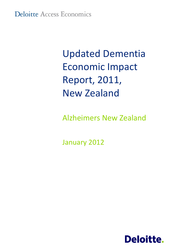# Updated Dementia Economic Impact Report, 2011, New Zealand

Alzheimers New Zealand

January 2012

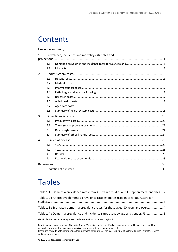# **Contents**

| $\mathbf{1}$   |     | Prevalence, incidence and mortality estimates and |  |
|----------------|-----|---------------------------------------------------|--|
|                |     |                                                   |  |
|                | 1.1 |                                                   |  |
|                | 1.2 |                                                   |  |
| $\overline{2}$ |     |                                                   |  |
|                | 2.1 |                                                   |  |
|                | 2.2 |                                                   |  |
|                | 2.3 |                                                   |  |
|                | 2.4 |                                                   |  |
|                | 2.5 |                                                   |  |
|                | 2.6 |                                                   |  |
|                | 2.7 |                                                   |  |
|                | 2.8 |                                                   |  |
| 3              |     |                                                   |  |
|                | 3.1 |                                                   |  |
|                | 3.2 |                                                   |  |
|                | 3.3 |                                                   |  |
|                | 3.4 |                                                   |  |
| 4              |     |                                                   |  |
|                | 4.1 |                                                   |  |
|                | 4.2 |                                                   |  |
|                | 4.3 |                                                   |  |
|                | 4.4 |                                                   |  |
|                |     |                                                   |  |
|                |     |                                                   |  |
|                |     |                                                   |  |

# Tables

| Table 1.1 : Dementia prevalence rates from Australian studies and European meta-analyses2 |  |
|-------------------------------------------------------------------------------------------|--|
| Table 1.2 : Alternative dementia prevalence rate estimates used in previous Australian    |  |
| Table 1.3 : Estimated dementia prevalence rates for those aged 80 years and over4         |  |
| Table 1.4 : Dementia prevalence and incidence rates used, by age and gender, %5           |  |
| Liability limited by a scheme approved under Professional Standards Legislation.          |  |

Deloitte refers to one or more of Deloitte Touche Tohmatsu Limited, a UK private company limited by guarantee, and its network of member firms, each of which is a legally separate and independent entity. Please see www.deloitte.com/au/about for a detailed description of the legal structure of Deloitte Touche Tohmatsu Limited and its member firms.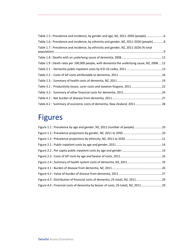| Table 1.5 : Prevalence and incidence, by gender and age, NZ, 2011-2050 (people)6           |  |
|--------------------------------------------------------------------------------------------|--|
| Table 1.6 : Prevalence and incidence, by ethnicity and gender, NZ, 2011-2026 (people)8     |  |
| Table 1.7 : Prevalence and incidence, by ethnicity and gender, NZ, 2011-2026 (% total      |  |
|                                                                                            |  |
| Table 1.9 : Death rates per 100,000 people, with dementia the underlying cause, NZ, 200812 |  |
|                                                                                            |  |
|                                                                                            |  |
|                                                                                            |  |
| Table 3.1: Productivity losses, carer costs and taxation forgone, 2011 22                  |  |
|                                                                                            |  |
|                                                                                            |  |
| Table 4.2: Summary of economic costs of dementia, New Zealand, 201128                      |  |

# Figures

| Figure 1.1 : Prevalence by age and gender, NZ, 2011 (number of people)10           |  |
|------------------------------------------------------------------------------------|--|
|                                                                                    |  |
|                                                                                    |  |
|                                                                                    |  |
|                                                                                    |  |
|                                                                                    |  |
|                                                                                    |  |
|                                                                                    |  |
|                                                                                    |  |
| Figure 4.3 : Distribution of financial costs of dementia, (% total), NZ, 201129    |  |
| Figure 4.4 : Financial costs of dementia by bearer of costs, (% total), NZ, 201129 |  |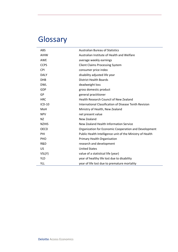# **Glossary**

| <b>ABS</b>   | <b>Australian Bureau of Statistics</b>                    |
|--------------|-----------------------------------------------------------|
| <b>AIHW</b>  | Australian Institute of Health and Welfare                |
| <b>AWE</b>   | average weekly earnings                                   |
| <b>CCPS</b>  | <b>Client Claims Processing System</b>                    |
| <b>CPI</b>   | consumer price index                                      |
| <b>DALY</b>  | disability adjusted life year                             |
| <b>DHB</b>   | <b>District Health Boards</b>                             |
| <b>DWL</b>   | deadweight loss                                           |
| GDP          | gross domestic product                                    |
| GP           | general practitioner                                      |
| <b>HRC</b>   | Health Research Council of New Zealand                    |
| ICD-10       | International Classification of Disease Tenth Revision    |
| MoH          | Ministry of Health, New Zealand                           |
| <b>NPV</b>   | net present value                                         |
| <b>NZ</b>    | New Zealand                                               |
| <b>NZHIS</b> | New Zealand Health Information Service                    |
| <b>OECD</b>  | Organization for Economic Cooperation and Development     |
| PHI          | Public Health Intelligence unit of the Ministry of Health |
| PHO          | <b>Primary Health Organisation</b>                        |
| R&D          | research and development                                  |
| US           | <b>United States</b>                                      |
| VSL(Y)       | value of a statistical life (year)                        |
| <b>YLD</b>   | year of healthy life lost due to disability               |
| YLL          | year of life lost due to premature mortality              |

L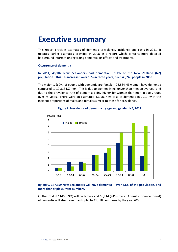## <span id="page-4-0"></span>**Executive summary**

This report provides estimates of dementia prevalence, incidence and costs in 2011. It updates earlier estimates provided in 2008 in a report which contains more detailed background information regarding dementia, its effects and treatments.

#### **Occurrence of dementia**

### **In 2011, 48,182 New Zealanders had dementia – 1.1% of the New Zealand (NZ) population. This has increased over 18% in three years, from 40,746 people in 2008.**

The majority (60%) of people with dementia are female – 28,864 NZ women have dementia compared to 19,318 NZ men. This is due to women living longer than men on average, and due to the prevalence rate of dementia being higher for women than men in age groups over 75 years. There were an estimated 13,486 new case of dementia in 2011, with the incident proportions of males and females similar to those for prevalence.



### **Figure i: Prevalence of dementia by age and gender, NZ, 2011**

**By 2050, 147,359 New Zealanders will have dementia – over 2.6% of the population, and more than triple current numbers.**

Of the total, 87,145 (59%) will be female and 60,214 (41%) male. Annual incidence (onset) of dementia will also more than triple, to 41,088 new cases by the year 2050.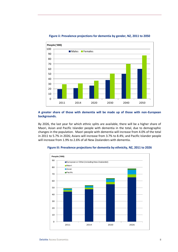

#### **Figure ii: Prevalence projections for dementia by gender, NZ, 2011 to 2050**

### **A greater share of those with dementia will be made up of those with non-European backgrounds.**

By 2026, the last year for which ethnic splits are available, there will be a higher share of Maori, Asian and Pacific Islander people with dementia in the total, due to demographic changes in the population. Maori people with dementia will increase from 4.0% of the total in 2011 to 5.7% in 2026; Asians will increase from 3.7% to 8.4%; and Pacific Islander people will increase from 1.9% to 2.6% of all New Zealanders with dementia.



#### **Figure iii: Prevalence projections for dementia by ethnicity, NZ, 2011 to 2026**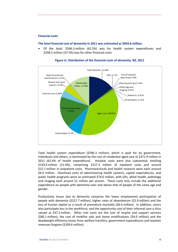#### **Financial costs**

#### **The total financial cost of dementia in 2011 was estimated as \$954.8 million.**

 Of the total, \$596.3 million (62.5%) was for health system expenditures and \$358.5 million (37.5%) was for other financial costs.



#### **Figure iv: Distribution of the financial costs of dementia, NZ, 2011**

Total health system expenditure (\$596.3 million), which is paid for by government, individuals and others, is dominated by the cost of residential aged care at \$371.9 million in 2011 (62.4% of health expenditure). Hospital costs were also substantial, totalling \$139.4 million (21.4%), comprising \$127.3 million of inpatient costs and around \$12.1 million in outpatient costs. Pharmaceuticals and health research were each around \$4.0 million. Overhead costs of administering health systems, capital expenditures, and public health programs were an estimated \$74.6 million, with GPs, allied health, pathology and imaging each around \$1 million per annum. These costs only include the additional expenditure on people with dementia over and above that of people of the same age and gender.

Productivity losses due to dementia comprise the lower employment participation of people with dementia (\$157.7 million), higher rates of absenteeism (\$2.9 million) and the loss of human capital as a result of premature mortality (\$6.9 million). In addition, carers also participate less in the workforce, and the opportunity cost of their informal care is thus valued at \$37.2 million. Other real costs are the cost of respite and support services (\$40.1 million), the cost of mobility aids and home modifications (\$4.0 million) and the deadweight efficiency losses from welfare transfers, government expenditures and taxation revenues forgone (\$109.6 million).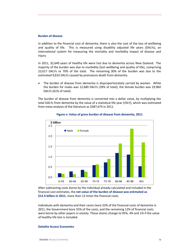#### **Burden of disease**

In addition to the financial cost of dementia, there is also the cost of the loss of wellbeing and quality of life. This is measured using disability adjusted life years (DALYs), an international system for measuring the mortality and morbidity impact of disease and injury.

In 2011, 32,649 years of healthy life were lost due to dementia across New Zealand. The majority of the burden was due to morbidity (lost wellbeing and quality of life), comprising 23,017 DALYs or 70% of the total. The remaining 30% of the burden was due to the estimated 9,633 DALYs caused by premature death from dementia.

 The burden of disease from dementia is disproportionately carried by women. While the burden for males was 12,689 DALYs (39% of total), the female burden was 19,960 DALYs (61% of total).

The burden of disease from dementia is converted into a dollar value, by multiplying the total DALYs from dementia by the value of a statistical life year (VSLY), which was estimated from meta-analysis of the literature as \$387,674 in 2011.



#### **Figure v: Value of gross burden of disease from dementia, 2011**

After subtracting costs borne by the individual already calculated and included in the financial cost estimates, the **net value of the burden of disease was estimated as \$12.4 billion in 2011**, more than 12 times the financial costs.

Individuals with dementia and their carers bore 33% of the financial costs of dementia in 2011, the Government bore 55% of the costs, and the remaining 12% of financial costs were borne by other payers in society. These shares change to 95%, 4% and 1% if the value of healthy life lost is included.

#### **Deloitte Access Economics**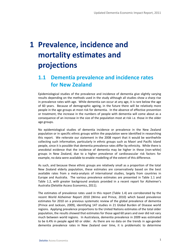# <span id="page-8-0"></span>**1 Prevalence, incidence and mortality estimates and projections**

### <span id="page-8-1"></span>**1.1 Dementia prevalence and incidence rates for New Zealand**

Epidemiological studies of the prevalence and incidence of dementia give slightly varying results depending on the methods used in the study although all studies show a sharp rise in prevalence rates with age. While dementia can occur at any age, it is rare below the age of 60 years. Because of demographic ageing, in the future there will be relatively more people in the age groups at most risk for dementia. In the absence of effective prevention or treatment, the increase in the numbers of people with dementia will come about as a consequence of an increase in the size of the population most at risk i.e. those in the older age groups.

No epidemiological studies of dementia incidence or prevalence in the New Zealand population or in specific ethnic groups within the population were identified in researching this report. We reiterate our statement in the 2008 report that it would be worthwhile collecting such information, particularly in ethnic groups such as Maori and Pacific Island people, since it is possible that dementia prevalence rates differ by ethnicity. While there is anecdotal evidence that the incidence of dementia may be higher in these (non-white) groups in New Zealand, due to a higher prevalence of cardiovascular risk factors for example, no data were available to enable modelling of the extent of this difference.

As such, and because these ethnic groups are relatively small as a proportion of the total New Zealand elderly population, these estimates are conservatively based on the best available rates from a meta-analysis of international studies, largely from countries in Europe and Australia. The various prevalence estimates are presented in [Table 1.1](#page-9-0) and [Table 1.2,](#page-10-0) with greater background analysis provided in a recent report for Alzheimer's Australia (Deloitte Access Economics, 2011).

The estimates of prevalence rates used in this report [\(Table 1.4\)](#page-12-0) are corroborated by the recent World Alzheimer Report 2010 (Wimo and Prince, 2010) which based prevalence estimates for 2010 on a previous systematic review of the global prevalence of dementia (Prince and Jackson, 2009), identifying 147 studies in 21 Global Burden of Disease world regions. Applying prevalence proportions to the United Nations estimates of the total older population, the results showed that estimates for those aged 60 years and over did not vary much between world regions. In Australasia, dementia prevalence in 2009 was estimated to be 6.4% in people aged 60 or older. As there are no data on the trends in age-gender dementia prevalence rates in New Zealand over time, it is problematic to determine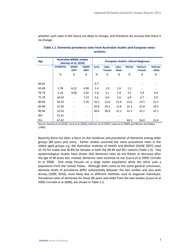whether such rates in the future are likely to change, and therefore we assume that there is no change.

| Age   |                | <b>Australian MMSE studies</b><br>(Anstey et al, 2010) |                          | <b>European studies: clinical diagnoses</b> |                        |                       |                |                           |                         |
|-------|----------------|--------------------------------------------------------|--------------------------|---------------------------------------------|------------------------|-----------------------|----------------|---------------------------|-------------------------|
|       | <b>DYNOPTA</b> | <b>NSMH</b><br>1997                                    | <b>NSMH</b><br>2007      | <b>Jorm</b>                                 | Lobo-<br><b>Female</b> | Lobo -<br><b>Male</b> | <b>Ritchie</b> | Hofman -<br><b>Female</b> | <b>Hofman</b><br>- Male |
|       | %              | %                                                      | %                        | %                                           | %                      | %                     | %              | %                         | %                       |
|       |                |                                                        |                          |                                             |                        |                       |                |                           |                         |
| 60-64 |                |                                                        | $\overline{\phantom{a}}$ | 0.7                                         |                        |                       |                |                           |                         |
| 65-69 | 3.78           | 6.22                                                   | 4.00                     | 1.4                                         | 1.0                    | 1.6                   | 1.5            | -                         | -                       |
| 70-74 | 5.16           | 9.09                                                   | 5.02                     | 2.8                                         | 3.1                    | 2.9                   | 3.5            | 3.9                       | 4.6                     |
| 75-79 | 10.63          |                                                        | 7.53                     | 5.6                                         | 6.0                    | 5.6                   | 6.8            | 6.7                       | 5.0                     |
| 80-84 | 16.32          |                                                        | 5.26                     | 10.5                                        | 12.6                   | 11.0                  | 13.6           | 13.5                      | 12.1                    |
| 85-89 | 22.36          | $\qquad \qquad -$                                      | $\overline{\phantom{0}}$ | 20.8                                        | 20.2                   | 12.8                  | 22.3           | 22.8                      | 18.5                    |
| 90-94 | 32.43          |                                                        | $\overline{\phantom{a}}$ | 38.6                                        | 30.8                   | 22.1                  | 31.5           | 32.2                      | 32.1                    |
| $90+$ | 41.41          |                                                        | $\overline{\phantom{a}}$ | $\qquad \qquad \blacksquare$                |                        |                       |                |                           |                         |
| $95+$ | 67.42          |                                                        |                          |                                             |                        |                       | 44.5           | 36.0                      | 31.6                    |

<span id="page-9-0"></span>**Table 1.1: Dementia prevalence rates from Australian studies and European metaanalyses**

Source: Anstey et al (2010), Jorm et al (2005), Hofman et al (1991), Lobo et al (2000) and Ritchie and Kildea (1995).

Recently there has been a focus on the incidence and prevalence of dementia among older groups (80 years and over). Earlier studies assumed the same prevalence rates in the oldest aged groups e.g. the Australian Institute of Health and Welfare (AIHW 2007) used 22.1% for males and 30.8% for females in both the 90-94 and 95+ cohorts [\(Table 1.2\)](#page-10-0). Two epidemiological studies have shown that dementia rates do not flatten or decrease after the age of 90 years but, instead, dementia rates continue to rise (Lucca et al 2009; Corrada et al 2008). One study focuses on a large Italian population while the other uses a population from the United States. Although both come to the same general conclusion, absolute levels of prevalence differ substantially between the two studies and also with Anstey (2009, 2010), most likely due to different methods used to diagnose individuals. Prevalence rates of dementia for those 80 years and older from the two studies (Lucca et al 2009; Corrada et al 2008), are shown in [Table 1.3.](#page-11-0)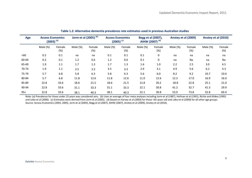| Age   | <b>Access Economics</b><br>$(2003)^{(a)}$ |               | Jorm et al $(2005)^{(b)}$ |               | <b>Access Economics</b><br>$(2005)^{(c)}$ |               | Begg et al (2007),<br>AIHW (2007) <sup>(d)</sup> |               | Anstey et al (2009) |               | Anstey et al (2010) |               |
|-------|-------------------------------------------|---------------|---------------------------|---------------|-------------------------------------------|---------------|--------------------------------------------------|---------------|---------------------|---------------|---------------------|---------------|
|       | Male (%)                                  | Female<br>(%) | Male (%)                  | Female<br>(%) | Male (%)                                  | Female<br>(%) | Male (%)                                         | Female<br>(%) | Male (%)            | Female<br>(%) | Male (%)            | Female<br>(%) |
| < 60  | 0.2                                       | 0.1           | na                        | na            | 0.1                                       | 0.1           | 0.1                                              | $\mathbf 0$   | na                  | na            | na                  | na            |
| 60-64 | 0.2                                       | 0.1           | 1.2                       | 0.6           | 1.2                                       | 0.6           | 0.1                                              | 0             | na                  | Na            | na                  | Na            |
| 65-69 | 1.9                                       | 1.1           | 1.7                       | 1.3           | 1.7                                       | 1.3           | 1.6                                              | 1.0           | 2.2                 | 2.5           | 3.0                 | 4.5           |
| 70-74 | 1.9                                       | 1.1           | 3.5                       | 3.3           | 3.5                                       | 3.3           | 2.9                                              | 3.1           | 4.9                 | 5.6           | 6.2                 | 4.3           |
| 75-79 | 5.7                                       | 6.8           | 5.8                       | 6.3           | 5.8                                       | 6.3           | 5.6                                              | 6.0           | 8.2                 | 9.2           | 10.7                | 10.6          |
| 80-84 | 5.7                                       | 6.8           | 11.8                      | 12.6          | 11.8                                      | 12.6          | 11.0                                             | 12.6          | 12.3                | 17.0          | 16.9                | 16.0          |
| 85-89 | 22.8                                      | 33.6          | 18.6                      | 21.5          | 18.6                                      | 21.5          | 12.8                                             | 20.2          | 18.8                | 22.8          | 25.1                | 21.0          |
| 90-94 | 22.8                                      | 33.6          | 31.1                      | 33.3          | 31.1                                      | 33.3          | 22.1                                             | 30.8          | 41.2                | 32.7          | 41.3                | 29.9          |
| $95+$ | 22.8                                      | 33.6          | 38.1                      | 40.3          | 38.1                                      | 40.3          | 22.1                                             | 30.8          | 53.9                | 73.8          | 52.8                | 69.4          |

**Table 1.2: Alternative dementia prevalence rate estimates used in previous Australian studies**

<span id="page-10-0"></span>Note: (a) Prevalence for those under 25 years was considered zero. (b) Uses an average of four meta analyses including Jorm et al (1987), Hofman et al (1991), Richie and Kildea (1995) and Lobo et al (2000). (c) Estimates were derived from Jorm et al (2005). (d) Based on Harvey et al (2003) for those <65 years old and Lobo et al (2000) for all other age groups. Source: Access Economics (2003, 2005), Jorm et al (2005), Begg et al (2007), AIHW (2007), Anstey et al (2009), Anstey et al (2010).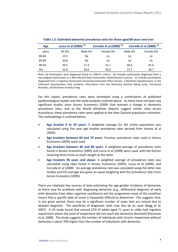| Age   | Lucca et al $(2009)^{(a)}$ |             | Corrada et al (2008) <sup>(b)</sup> |             | Corrada et al (2008) <sup>(c)</sup> |
|-------|----------------------------|-------------|-------------------------------------|-------------|-------------------------------------|
| years | All (%)                    | Male $(\%)$ | Female (%)                          | Male $(\%)$ | Female (%)                          |
| 80-84 | 13.5                       | Na          | na                                  | na          | na                                  |
| 85-89 | 30.8                       | Na          | na                                  | na          | na                                  |
| 90-94 | 39.5                       | 17.3        | 31.1                                | 40.4        | 42.6                                |
| $95+$ | 52.8                       | 20.6        | 50.0                                | 37.2        | 58.7                                |

<span id="page-11-0"></span>

Note: (a) Participants were diagnosed based on DSM-IV criteria. (b) Includes participants diagnosed from a neurological examination or a Mini-Mental State Examination administered in person. (c) Includes participants diagnosed from a Cognitive Assessment Screening Instrument-Short Version, a Dementia Questionnaire, or the Informant Questionnaire that combines information from the Dementia Severity Rating Scale, Functional Activities, and Activities of Daily Living.

For this report, prevalence rates were estimated using a combination of published epidemiological studies and the meta-analyses outlined above. As there have not been any significant studies since Access Economics (2009) that warrant a change in dementia prevalence rates, and as the World Alzheimer Reports suggest similar rates across Australasia, these prevalence rates were applied to the New Zealand population estimates. The methodology is outlined below.

- **Age bracket 0 to 59 years:** A weighted average for the entire population was calculated using five year age bracket prevalence rates derived from Harvey et al (2003).
- **Age brackets between 60 and 79 years:** Previous prevalence rates used in Access Economics (2005) were used.
- **Age brackets between 80 and 89 years:** A weighted average of prevalence rates found in Access Economics (2005) and Lucca et al (2009) were used, with the former receiving three times as much weight as the latter.
- **Age brackets 90 years and above:** A weighted average of prevalence rates was calculated using rates found in Access Economics (2005), Lucca et al (2009), and Corrada et al (2008). An average prevalence rate was calculated using the latter two studies and this average was given an equal weighting with the prevalence rates from Access Economics (2005).

There are relatively few sources of data estimating the age-gender incidence of dementia, as there may be problems with diagnosing dementia (e.g., differential diagnosis of early mild dementia from other cognitive conditions) and the progressive onset of the condition means that a specific date of onset is frequently difficult to determine. This suggests that, in any given period, there may be a significant number of cases that are missed due to delayed diagnosis. The specificity of diagnostic tools may also be an issue (Begg et al, 2007). A US study found that around 22% of adults aged 71 years or older had cognitive impairment where the level of impairment did not reach the dementia threshold (Plassman et al, 2008). The study suggests the number of individuals with chronic impairment without dementia is about 70% higher than the number of individuals with dementia.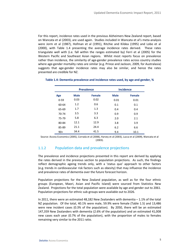For this report, incidence rates used in the previous Alzheimers New Zealand report, based on Wancata et al (2003), are used again. Studies included in Wancata et al's meta-analysis were Jorm et al (1987), Hofman et al (1991), Ritchie and Kildea (1995) and Lobo et al (2000), with [Table 1.4](#page-12-0) presenting the average incidence rates derived. These rates triangulate well with (i.e. fall within the ranges estimated by) Ferri et al (2005) for the Western Pacific and Southeast Asian regions. Whilst most reports focus on prevalence rather than incidence, the similarity of age-gender prevalence rates across country studies where age-gender mortality rates are similar (e.g. Prince and Jackson, 2009, for Australasia) suggests that age-gender incidence rates may also be similar, and hence the rates presented are credible for NZ.

|          |             | <b>Prevalence</b> |             | <b>Incidence</b> |
|----------|-------------|-------------------|-------------|------------------|
| Age      | <b>Male</b> | <b>Female</b>     | <b>Male</b> | <b>Female</b>    |
| $0 - 59$ | 0.03        | 0.02              | 0.01        | 0.01             |
| 60-64    | 1.2         | 0.6               | 0.1         | 0.1              |
| 65-69    | 1.7         | 1.3               | 0.4         | 0.4              |
| 70-74    | 3.5         | 3.3               | 0.9         | 0.9              |
| 75-79    | 5.8         | 6.3               | 2.0         | 2.1              |
| 80-84    | 12.1        | 12.9              | 3.8         | 3.9              |
| 85-89    | 21.1        | 24.4              | 6.2         | 6.6              |
| $90+$    | 34.4        | 41.5              | 9.4         | 10.1             |

#### <span id="page-12-0"></span>**Table 1.4: Dementia prevalence and incidence rates used, by age and gender, %**

Source: Access Economics (2005), Corrada et al (2008), Harvey et al (2003), Lucca et al (2009), Wancata et al (2003).

### 1.1.2 Population data and prevalence projections

The prevalence and incidence projections presented in this report are derived by applying the rates derived in the previous section to population projections. As such, the findings reflect demographic ageing trends only, with a 'status quo' approach to other factors (e.g. trends in cardiovascular risk factors such as obesity) that may influence the incidence and prevalence rates of dementia over the future forecast horizon.

Population projections for the New Zealand population, as well as for the four ethnic groups (European, Maori, Asian and Pacific Island) were sourced from Statistics New Zealand. Projections for the total population were available by age and gender out to 2061. Population projections for ethnic sub-groups were available out to 2026.

In 2011, there were an estimated 48,182 New Zealanders with dementia – 1.1% of the total NZ population. Of the total, 40.1% were male, 59.9% were female [\(Table 1.5\)](#page-13-0) and 13,486 were new incident cases (0.3% of the population). By 2050, there will be an estimated 147,359 New Zealanders with dementia (2.6% of the population) and an estimated 41,008 new cases each year (0.7% of the population), with the proportion of males to females remaining very similar to the 2011 ratio.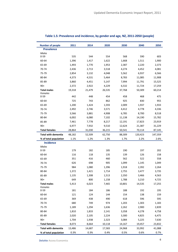| <b>Number of people</b>                             | 2011           | 2014           | 2020           | 2030           | 2040           | 2050           |
|-----------------------------------------------------|----------------|----------------|----------------|----------------|----------------|----------------|
| <b>Prevalence</b>                                   |                |                |                |                |                |                |
| Males                                               |                |                |                |                |                |                |
| $0 - 59$                                            | 535            | 544            | 554            | 568            | 590            | 603            |
| 60-64                                               | 1,396          | 1,417          | 1,622          | 1,668          | 1,511          | 1,900          |
| 65-69                                               | 1,493          | 1,770          | 1,953          | 2,387          | 2,220          | 2,373          |
| 70-74                                               | 2,436          | 2,713          | 3,518          | 4,274          | 4,452          | 4,081          |
| 75-79                                               | 2,854          | 3,132          | 4,048          | 5,562          | 6,937          | 6,566          |
| 80-84                                               | 4,373          | 4,531          | 5,464          | 8,783          | 11,085         | 11,908         |
| 85-89                                               | 3,860          | 4,451          | 5,147          | 7,994          | 11,791         | 15,525         |
| $90+$                                               | 2,372          | 2,922          | 4,229          | 6,532          | 11,724         | 17,259         |
| <b>Total males</b><br>Females                       | 19,318         | 21,479         | 26,535         | 37,768         | 50,309         | 60,214         |
| $0 - 59$                                            | 442            | 448            | 454            | 458            | 468            | 475            |
| 60-64                                               | 725            | 743            | 862            | 925            | 830            | 955            |
| 65-69                                               | 1,200          | 1,424          | 1,593          | 2,009          | 1,937          | 1,933          |
| 70-74                                               | 2,492          | 2,746          | 3,571          | 4,412          | 4,778          | 4,336          |
| 75-79                                               | 3,566          | 3,881          | 4,908          | 6,785          | 8,700          | 8,518          |
| 80-84                                               | 6,002          | 6,080          | 7,102          | 11,138         | 14,190         | 15,782         |
| 85-89                                               | 7,461          | 7,778          | 8,217          | 12,191         | 17,823         | 23,919         |
| $90+$                                               | 6,977          | 7,932          | 9,510          | 12,624         | 21,387         | 31,229         |
| <b>Total females</b>                                | 28,864         | 31,030         | 36,215         | 50,541         | 70,114         | 87,145         |
| <b>Total with dementia</b>                          | 48,182         | 52,509         | 62,750         | 88,309         | 120,423        | 147,359        |
| % of total population                               | 1.1%           | 1.2%           | 1.3%           | 1.7%           | 2.2%           | 2.6%           |
| <b>Incidence</b>                                    |                |                |                |                |                |                |
| Males                                               |                |                |                |                |                |                |
| $0 - 59$                                            | 179            | 182            | 185            | 190            | 197            | 202            |
| 60-64                                               | 116            | 118            | 135            | 139            | 126            | 158            |
| 65-69                                               | 351            | 416            | 460            | 562            | 522            | 558            |
| 70-74                                               | 626            | 698            | 905            | 1,099          | 1,145          | 1,049          |
| 75-79                                               | 984            | 1,080          | 1,396          | 1,918          | 2,392          | 2,264          |
| 80-84                                               | 1,372          | 1,421          | 1,714          | 2,755          | 3,477          | 3,735          |
| 85-89                                               | 1,135          | 1,308          | 1,513          | 2,350          | 3,466          | 4,563          |
| $90+$                                               | 649            | 800            | 1,158          | 1,788          | 3,210          | 4,725          |
| <b>Total males</b>                                  | 5,413          | 6,023          | 7,465          | 10,801         | 14,535         | 17,255         |
| Females<br>$0 - 59$                                 | 181            | 184            | 186            | 188            | 192            | 195            |
| 60-64                                               | 121            | 124            | 144            | 154            | 138            | 159            |
| 65-69                                               | 369            | 438            | 490            | 618            | 596            | 595            |
| 70-74                                               | 680            | 749            | 974            | 1,203          | 1,303          | 1,183          |
| 75-79                                               | 1,189          | 1,294          | 1,636          | 2,262          | 2,900          | 2,839          |
| 80-84                                               |                |                |                |                |                |                |
| 85-89                                               | 1,810<br>2,020 | 1,833<br>2,105 | 2,141<br>2,224 | 3,358<br>3,300 | 4,278<br>4,825 | 4,758<br>6,475 |
| $90+$                                               | 1,704          | 1,938          | 2,323          | 3,084          | 5,225          | 7,630          |
| <b>Total females</b>                                | 8,073          | 8,664          | 10,118         | 14,167         | 19,457         | 23,832         |
|                                                     |                |                |                |                |                |                |
| <b>Total with dementia</b><br>% of total population | 13,486<br>0.3% | 14,687<br>0.3% | 17,583<br>0.4% | 24,968<br>0.5% | 33,992<br>0.6% | 41,088<br>0.7% |
|                                                     |                |                |                |                |                |                |

### <span id="page-13-0"></span>**Table 1.5: Prevalence and incidence, by gender and age, NZ, 2011-2050 (people)**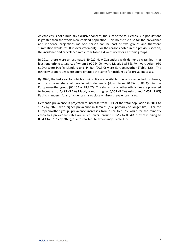As ethnicity is not a mutually exclusive concept, the sum of the four ethnic sub-populations is greater than the whole New Zealand population. This holds true also for the prevalence and incidence projections (as one person can be part of two groups and therefore summation would result in overstatement). For the reasons noted in the previous section, the incidence and prevalence rates from [Table 1.4](#page-12-0) were used for all ethnic groups.

In 2011, there were an estimated 49,022 New Zealanders with dementia classified in at least one ethnic category, of whom 1,970 (4.0%) were Maori, 1,838 (3.7%) were Asian, 930 (1.9%) were Pacific Islanders and 44,284 (90.3%) were European/other [\(Table 1.6\)](#page-15-0). The ethnicity proportions were approximately the same for incident as for prevalent cases.

By 2026, the last year for which ethnic splits are available, the ratios expected to change, with a smaller share of people with dementia (down from 90.3% to 83.2%) in the European/other group (65,154 of 78,267). The shares for all other ethnicities are projected to increase, to 4,493 (5.7%) Maori, a much higher 6,568 (8.4%) Asian, and 2,051 (2.6%) Pacific Islanders. Again, incidence shares closely mirror prevalence shares.

Dementia prevalence is projected to increase from 1.1% of the total population in 2011 to 1.6% by 2026, with higher prevalence in females (due primarily to longer life). For the European/other group, prevalence increases from 1.0% to 1.3%, while for the minority ethnicities prevalence rates are much lower (around 0.02% to 0.04% currently, rising to 0.04% to 0.13% by 2026), due to shorter life expectancy [\(Table 1.7\)](#page-16-0).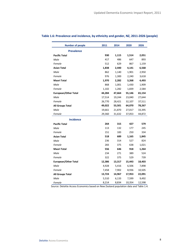| <b>Number of people</b>     | 2011   | 2014   | 2020   | 2026   |
|-----------------------------|--------|--------|--------|--------|
| <b>Prevalence</b>           |        |        |        |        |
| <b>Pacific Total</b>        | 930    | 1,115  | 1,514  | 2,051  |
| Male                        | 417    | 486    | 647    | 893    |
| Female                      | 512    | 629    | 867    | 1,159  |
| <b>Asian Total</b>          | 1,838  | 2,440  | 4,141  | 6,568  |
| Male                        | 862    | 1,140  | 1,901  | 2,950  |
| Female                      | 976    | 1,300  | 2,240  | 3,618  |
| <b>Maori Total</b>          | 1,970  | 2,282  | 3,268  | 4,493  |
| Male                        | 868    | 1,001  | 1,430  | 1,909  |
| Female                      | 1,102  | 1,282  | 1,839  | 2,584  |
| <b>European/Other Total</b> | 44,284 | 47,664 | 55,146 | 65,154 |
| Male                        | 17,514 | 19,244 | 23,040 | 27,644 |
| Female                      | 26,770 | 28,421 | 32,107 | 37,511 |
| <b>All Groups Total</b>     | 49,022 | 53,501 | 64,070 | 78,267 |
| Male                        | 19,661 | 21,870 | 27,017 | 33,395 |
| Female                      | 29,360 | 31,632 | 37,053 | 44,872 |
| <b>Incidence</b>            |        |        |        |        |
| <b>Pacific Total</b>        | 264    | 315    | 427    | 579    |
| Male                        | 113    | 132    | 177    | 245    |
| Female                      | 151    | 183    | 250    | 334    |
| <b>Asian Total</b>          | 518    | 689    | 1,165  | 1,845  |
| Male                        | 236    | 314    | 527    | 824    |
| Female                      | 283    | 375    | 638    | 1,021  |
| <b>Maori Total</b>          | 556    | 646    | 918    | 1,264  |
| Male                        | 234    | 271    | 389    | 524    |
| Female                      | 322    | 375    | 529    | 739    |
| <b>European/Other Total</b> | 12,386 | 13,317 | 15,443 | 18,403 |
| Male                        | 4,928  | 5,416  | 6,506  | 7,898  |
| Female                      | 7,458  | 7,902  | 8,936  | 10,505 |
| <b>All Groups Total</b>     | 13,724 | 14,967 | 17,953 | 22,091 |
| Male                        | 5,510  | 6,133  | 7,599  | 9,492  |
| Female                      | 8,214  | 8,834  | 10,354 | 12,598 |

### <span id="page-15-0"></span>**Table 1.6: Prevalence and incidence, by ethnicity and gender, NZ, 2011-2026 (people)**

Source: Deloitte Access Economics based on New Zealand population data and [Table 1.4.](#page-12-0)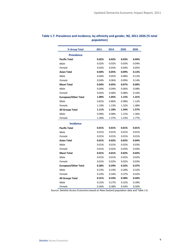| % Group Total               | 2011  | 2014  | 2020  | 2026  |
|-----------------------------|-------|-------|-------|-------|
| <b>Prevalence</b>           |       |       |       |       |
| <b>Pacific Total</b>        | 0.02% | 0.02% | 0.03% | 0.04% |
| Male                        | 0.02% | 0.02% | 0.03% | 0.04% |
| Female                      | 0.02% | 0.03% | 0.04% | 0.05% |
| <b>Asian Total</b>          | 0.04% | 0.05% | 0.09% | 0.13% |
| Male                        | 0.04% | 0.05% | 0.08% | 0.12% |
| Female                      | 0.04% | 0.06% | 0.09% | 0.14% |
| <b>Maori Total</b>          | 0.04% | 0.05% | 0.07% | 0.09% |
| Male                        | 0.04% | 0.04% | 0.06% | 0.08% |
| Female                      | 0.05% | 0.06% | 0.08% | 0.10% |
| <b>European/Other Total</b> | 1.00% | 1.05% | 1.15% | 1.31% |
| Male                        | 0.81% | 0.86% | 0.98% | 1.12% |
| Female                      | 1.19% | 1.23% | 1.32% | 1.48% |
| <b>All Groups Total</b>     | 1.11% | 1.18% | 1.34% | 1.57% |
| Male                        | 0.90% | 0.98% | 1.15% | 1.36% |
| Female                      | 1.30% | 1.37% | 1.53% | 1.77% |
| <b>Incidence</b>            |       |       |       |       |
| <b>Pacific Total</b>        | 0.01% | 0.01% | 0.01% | 0.01% |
| Male                        | 0.01% | 0.01% | 0.01% | 0.01% |
| Female                      | 0.01% | 0.01% | 0.01% | 0.01% |
| <b>Asian Total</b>          | 0.01% | 0.02% | 0.02% | 0.04% |
| Male                        | 0.01% | 0.01% | 0.02% | 0.03% |
| Female                      | 0.01% | 0.02% | 0.03% | 0.04% |
| <b>Maori Total</b>          | 0.01% | 0.01% | 0.02% | 0.03% |
| Male                        | 0.01% | 0.01% | 0.02% | 0.02% |
| Female                      | 0.01% | 0.02% | 0.02% | 0.03% |
| <b>European/Other Total</b> | 0.28% | 0.29% | 0.32% | 0.37% |
| Male                        | 0.23% | 0.24% | 0.28% | 0.32% |
| Female                      | 0.33% | 0.34% | 0.37% | 0.42% |
| <b>All Groups Total</b>     | 0.31% | 0.33% | 0.38% | 0.44% |
| Male                        | 0.25% | 0.27% | 0.32% | 0.39% |
| Female                      | 0.36% | 0.38% | 0.43% | 0.50% |

### <span id="page-16-0"></span>**Table 1.7: Prevalence and incidence, by ethnicity and gender, NZ, 2011-2026 (% total population)**

Source: Deloitte Access Economics based on New Zealand population data and [Table 1.6.](#page-15-0)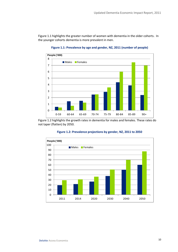<span id="page-17-0"></span>[Figure 1.1](#page-17-0) highlights the greater number of women with dementia in the older cohorts. In the younger cohorts dementia is more prevalent in men.



**Figure 1.1: Prevalence by age and gender, NZ, 2011 (number of people)**

<span id="page-17-1"></span>[Figure 1.2](#page-17-1) highlights the growth rates in dementia for males and females. These rates do not taper (flatten) by 2050.



### **Figure 1.2: Prevalence projections by gender, NZ, 2011 to 2050**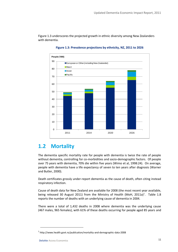<span id="page-18-1"></span>[Figure 1.3](#page-18-1) underscores the projected growth in ethnic diversity among New Zealanders with dementia.



**Figure 1.3: Prevalence projections by ethnicity, NZ, 2011 to 2026**

### <span id="page-18-0"></span>**1.2 Mortality**

The dementia specific mortality rate for people with dementia is twice the rate of people without dementia, controlling for co-morbidities and socio-demographic factors. Of people over 75 years with dementia, 70% die within five years (Wimo et al, 1998:24). On average, people with dementia have a life expectancy of seven to ten years after diagnosis (Warner and Butler, 2000).

Death certificates grossly under-report dementia as the cause of death, often citing instead respiratory infection.

Cause of death data for New Zealand are available for 2008 (the most recent year available, being released 30 August 2011) from the Ministry of Health (MoH, 2011a)<sup>1</sup>. [Table 1.8](#page-19-0) reports the number of deaths with an underlying cause of dementia in 2004.

There were a total of 1,432 deaths in 2008 where dementia was the underlying cause (467 males, 965 females), with 61% of these deaths occurring for people aged 85 years and

**.** 

<sup>1</sup> http://www.health.govt.nz/publication/mortality-and-demographic-data-2008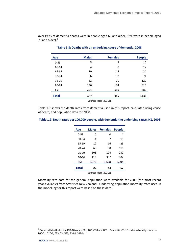<span id="page-19-0"></span>over (98% of dementia deaths were in people aged 65 and older, 92% were in people aged 75 and older). $<sup>2</sup>$ </sup>

| <b>Age</b>   | <b>Males</b> | <b>Females</b> | <b>People</b> |
|--------------|--------------|----------------|---------------|
| $0 - 59$     | 5            | 5              | 10            |
| 60-64        | 4            | 8              | 12            |
| 65-69        | 10           | 14             | 24            |
| 70-74        | 36           | 38             | 74            |
| 75-79        | 52           | 70             | 122           |
| 80-84        | 136          | 174            | 310           |
| $85+$        | 224          | 656            | 880           |
| <b>Total</b> | 467          | 965            | 1,432         |

### **Table 1.8: Deaths with an underlying cause of dementia, 2008**

Source: MoH (2011a).

[Table 1.9](#page-19-1) shows the death rates from dementia used in this report, calculated using cause of death, and population data for 2008.

### <span id="page-19-1"></span>**Table 1.9: Death rates per 100,000 people, with dementia the underlying cause, NZ, 2008**

| Age                  | <b>Males</b> | <b>Females</b> | <b>People</b> |  |
|----------------------|--------------|----------------|---------------|--|
| $0 - 59$             | 0            | 0              | 1             |  |
| 60-64                | 4            | 7              | 11            |  |
| 65-69                | 12           | 16             | 29            |  |
| $70-74$              | 60           | 58             | 118           |  |
| 75-79                | 108          | 124            | 232           |  |
| 80-84                | 416          | 387            | 802           |  |
| $85+$                | 1,075        | 1,528          | 2,604         |  |
| <b>Total</b>         | 22           | 44             | 67            |  |
| Source: MoH (2011a). |              |                |               |  |

Mortality rate data for the general population were available for 2008 (the most recent year available) from Statistics New Zealand. Underlying population mortality rates used in

the modelling for this report were based on these data.

 2 Counts all deaths for the ICD-10 codes: F01, F03, G30 and G31. Dementia ICD-10 codes in totality comprise F00-01, 020-1, 023, 03; G30, 310-1, 318-9.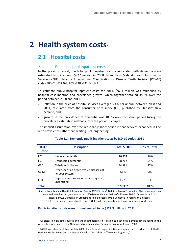# <span id="page-20-0"></span>**2 Health system costs**

### <span id="page-20-1"></span>**2.1 Hospital costs**

### 2.1.1 Public hospital inpatient costs

In the previous report, the total public inpatients costs associated with dementia were estimated to be around \$92.1 million in 2008, from New Zealand Health Information Service (NZHIS) data for International Classification of Disease Tenth Revision (ICD-10) codes F00-01, F02.0-3, F03, G30, G31.0-1,8-9.

To estimate public hospital inpatient costs for 2011, \$92.1 million was multiplied by hospital cost inflation and prevalence growth, which together totalled 35.2% over the period between 2008 and 2011.

- Inflation in the price of hospital services averaged 5.4% per annum between 2008 and 2011, calculated from the consumer price index (CPI) published by Statistics New Zealand; and
- growth in the prevalence of dementia was 18.3% over the same period (using the prevalence estimation methods from the previous chapter).

The implicit assumption over the reasonably short period is that services expanded in line with prevalence rather than waiting lists lengthening.

<span id="page-20-2"></span>

| $ICD-10$<br>code | <b>Description</b>                                         | <b>Total \$'000</b> | % of Total |
|------------------|------------------------------------------------------------|---------------------|------------|
| F01              | Vascular dementia                                          | 20,374              | 16%        |
| F <sub>0</sub> 3 | Unspecified dementia                                       | 68,762              | 54%        |
| G30              | Alzheimer's disease                                        | 34,381              | 27%        |
| G31.8            | Other specified degenerative diseases of<br>nervous system | 2.547               | 2%         |
| G31.9            | Degenerative disease of nervous system,<br>unspecified     | 1,273               | 1%         |
| <b>Total</b>     |                                                            | 127,337             | 100%       |

### **Table 2.1: Dementia public inpatient costs by ICD-10 codes, 2011**

Source: New Zealand Health Information Service (NZHIS) data<sup>4</sup>, Deloitte Access Economics. The following codes were estimated as zero, or close to zero: F00 Dementia in Alzheimer's disease; F02.0 Dementia in Pick's disease; F02.1 Dementia in Creutzfeldt-Jakob disease; F02.3 Dementia in Parkinson's disease;

G31.0 Circumscribed brain atrophy; and G31.1 Senile degeneration of brain, not elsewhere classified.

### **Public inpatient costs were thus estimated to be \$127.3 million in 2011.**

1

 $<sup>3</sup>$  All discussion on data sources and the methodologies in relation to each cost element can be found in the</sup> Access Economics report for Alzheimers New Zealand on Dementia Economic Impact 2008.

<sup>&</sup>lt;sup>4</sup> NZHIS was de-established in July 2008. Its role and responsibilities are spread across Ministry of Health, National Health Board and the National Health IT Board (http://www.nzhis.govt.nz/).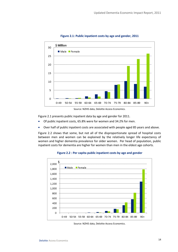<span id="page-21-0"></span>

**Figure 2.1: Public inpatient costs by age and gender, 2011**

Source: NZHIS data, Deloitte Access Economics.

[Figure 2.1](#page-21-0) presents public inpatient data by age and gender for 2011.

- Of public inpatient costs, 65.8% were for women and 34.2% for men.
- Over half of public inpatient costs are associated with people aged 85 years and above.

[Figure 2.2](#page-21-1) shows that some, but not all of the disproportionate spread of hospital costs between men and women can be explained by the relatively longer life expectancy of women and higher dementia prevalence for older women. Per head of population, public inpatient costs for dementia are higher for women than men in the eldest age cohorts.



<span id="page-21-1"></span>**Figure 2.2 : Per capita public inpatient costs by age and gender**

Source: NZHIS data, Deloitte Access Economics.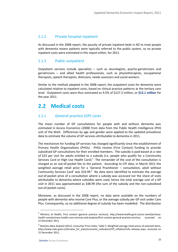### 2.1.2 Private hospital inpatient

As discussed in the 2008 report, the paucity of private inpatient beds in NZ to treat people with dementia means patients were typically referred to the public system, so no private inpatient costs were estimated in this report either, for 2011.

### 2.1.3 Public outpatient

Outpatient services include specialists – such as neurologists, psycho-geriatricians and geriatricians – and allied health professionals, such as physiotherapists, occupational therapists, speech therapists, dieticians, needs assessors and social workers.

Similar to the method adopted in the 2008 report, the outpatient costs for dementia were calculated relative to inpatient costs, based on clinical practice patterns at the tertiary care level. Outpatient costs were thus estimated as 9.5% of \$127.3 million, or **\$12.1 million** for the year 2011.

### <span id="page-22-0"></span>**2.2 Medical costs**

### 2.2.1 General practice (GP) costs

The mean number of GP consultations for people with and without dementia was estimated in Access Economics (2008) from data from the Public Health Intelligence (PHI) unit of the MoH. Differences by age and gender were applied to the updated prevalence data to estimate the volume of GP services attributable to dementia in 2011.

The mechanism for funding GP services has changed significantly since the establishment of Primary Health Organisations (PHOs). PHOs receive (First Contact) funding to provide subsidised GP consultations for their enrolled members. The subsidy is paid based at a rate of \$15 per visit for adults entitled to a subsidy (i.e. people who qualify for a Community Services Card or High Use Health Card). $5$  The remainder of the cost of the consultation is charged as an out-of-pocket fee to the patient. According to CPI data, in March 2011 the weighted average retail price for a 'General Practitioner – consultation, adult without Community Services Card' was \$33.99. $6$  No data were identified to estimate the average out-of-pocket price of a consultation where a subsidy was accessed nor the share of visits attributable to dementia where subsidies were used, hence the total average cost of a GP visit in 2011 was approximated as \$48.99 (the sum of the subsidy and the non-subsidised out-of-pocket costs).

Moreover, as discussed in the 2008 report, no data were available on the numbers of people with dementia who receive Care Plus, or the average subsidy per GP visit under Care Plus. Consequently, so no additional degree of subsidy has been modelled. The distribution

-

<sup>5</sup> Ministry of Health, First contact (general practice services), [http://www.health.govt.nz/our-work/primary](http://www.health.govt.nz/our-work/primary-health-care/primary-health-care-services-and-projects/first-contact-general-practice-services)[health-care/primary-health-care-services-and-projects/first-contact-general-practice-services,](http://www.health.govt.nz/our-work/primary-health-care/primary-health-care-services-and-projects/first-contact-general-practice-services) accessed 15 December 2011.

 $^6$  Statistics New Zealand (2011), Consumer Price Index, Table 5: Weighted average retail prices of selected items, [http://www.stats.govt.nz/browse\\_for\\_stats/economic\\_indicators/CPI\\_inflation/info-releases.aspx,](http://www.stats.govt.nz/browse_for_stats/economic_indicators/CPI_inflation/info-releases.aspx) accessed on 15 December 2011.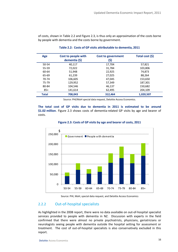<span id="page-23-0"></span>of costs, shown in [Table 2.2](#page-23-0) and [Figure 2.3,](#page-23-1) is thus only an approximation of the costs borne by people with dementia and the costs borne by government.

| Age          | Cost to people with<br>dementia (\$) | <b>Cost to government</b><br>(\$) | Total cost (\$) |
|--------------|--------------------------------------|-----------------------------------|-----------------|
| 50-54        | 40,117                               | 17,704                            | 57,821          |
| 55-59        | 72,022                               | 31,784                            | 103,806         |
| 60-64        | 51.948                               | 22.925                            | 74.873          |
| 65-69        | 61.239                               | 27.025                            | 88.264          |
| 70-74        | 106.605                              | 47.045                            | 153,650         |
| 75-79        | 129,952                              | 57,349                            | 187,301         |
| 80-84        | 104.546                              | 46.137                            | 150,682         |
| $85+$        | 141.614                              | 62,495                            | 204,109         |
| <b>Total</b> | 708.043                              | 312.464                           | 1,020,507       |

**Table 2.2: Costs of GP visits attributable to dementia, 2011**

Source: PHI/MoH special data request, Deloitte Access Economics.

**The total cost of GP visits due to dementia in 2011 is estimated to be around \$1.02 million**. [Figure 2.3](#page-23-1) shows costs of dementia-related GP visits by age and bearer of costs.

<span id="page-23-1"></span>



Source: PHI, MoH, special data request, and Deloitte Access Economics

### 2.2.2 Out-of-hospital specialists

As highlighted in the 2008 report, there were no data available on out-of-hospital specialist services provided to people with dementia in NZ. Discussion with experts in the field confirmed that there were almost no private psychiatrists, physicians, geriatricians or neurologists seeing people with dementia outside the hospital setting for assessment or treatment. The cost of out-of-hospital specialists is also conservatively excluded in this report.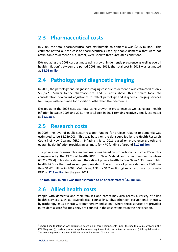### <span id="page-24-0"></span>**2.3 Pharmaceutical costs**

In 2008, the total pharmaceutical cost attributable to dementia was \$2.95 million. This estimate netted out the cost of pharmaceuticals used by people dementia that were not attributable to dementia but, rather, were used to treat unrelated conditions.

Extrapolating the 2008 cost estimate using growth in dementia prevalence as well as overall health inflation<sup>7</sup> between the period 2008 and 2011, the total cost in 2011 was estimated as **\$4.03 million**.

### <span id="page-24-1"></span>**2.4 Pathology and diagnostic imaging**

In 2008, the pathology and diagnostic imaging cost due to dementia was estimated as only \$88,572. Similar to the pharmaceutical and GP costs above, this estimate took into consideration downward adjustment to reflect pathology and diagnostic imaging services for people with dementia for conditions other than their dementia.

Extrapolating the 2008 cost estimate using growth in prevalence as well as overall health inflation between 2008 and 2011, the total cost in 2011 remains relatively small, estimated as **\$120,867**.

### <span id="page-24-2"></span>**2.5 Research costs**

In 2008, the level of public sector research funding for projects relating to dementia was estimated to be \$1,259,208. This was based on the data supplied by the Health Research Council of New Zealand (HRC). Inflating this to 2011 based on prevalence growth and overall health inflation provides an estimate for HRC funding of around **\$1.7 million.** 

The private sector research spend estimate was based on proportionality from a 12-country comparison by the OECD of health R&D in New Zealand and other member countries (OECD, 2004). This study showed the ratio of private health R&D in NZ as 1.33 times public health R&D for the most recent year provided. The estimate of private dementia R&D was thus \$1.67 million in 2008. Multiplying 1.33 by \$1.7 million gives an estimate for private R&D of **\$2.3 million** for the year 2011.

**The total R&D in 2011 was thus estimated to be approximately \$4.0 million.**

### <span id="page-24-3"></span>**2.6 Allied health costs**

People with dementia and their families and carers may also access a variety of allied health services such as psychological counselling, physiotherapy, occupational therapy, hydrotherapy, music therapy, aromatherapy and so on. Where these services are provided in residential care facilities, they are counted in the cost estimates in the next section.

1

 $^7$  Overall health inflation was calculated based on all three components under the health group category in the CPI. They are: (i) medical products, appliances and equipment; (ii) outpatient services; and (iii) hospital services. The average growth rate was 4.9% per annum between 2008 and 2011.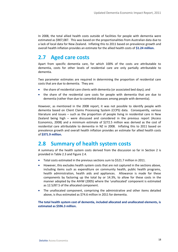In 2008, the total allied health costs outside of facilities for people with dementia were estimated as \$907,087. This was based on the proportionalities from Australian data due to a lack of local data for New Zealand. Inflating this to 2011 based on prevalence growth and overall health inflation provides an estimate for the allied health costs of **\$1.24 million.**

### <span id="page-25-0"></span>**2.7 Aged care costs**

Apart from specific dementia care, for which 100% of the costs are attributable to dementia, costs for other levels of residential care are only partially attributable to dementia.

Two parameter estimates are required in determining the proportion of residential care costs that are due to dementia. They are:

- the share of residential care clients with dementia (or associated bed days); and
- the share of the residential care costs for people with dementia that are due to dementia (rather than due to comorbid diseases among people with dementia).

However, as mentioned in the 2008 report, it was not possible to identify people with dementia based on Client Claims Processing System (CCPS) data. Consequently, various literature and issues – such as the proportion of people living in residential care in New Zealand being high – were discussed and considered in the previous report (Access Economics, 2008) and a minimum estimate of \$272.5 million was derived as the cost of residential care attributable to dementia in NZ in 2008. Inflating this to 2011 based on prevalence growth and overall health inflation provides an estimate for allied health costs of **\$371.9 million.** 

### <span id="page-25-1"></span>**2.8 Summary of health system costs**

A summary of the health system costs derived from the discussion so far in Section 2 is provided in [Table 2.3](#page-26-0) an[d Figure 2.4.](#page-26-1)

- Total costs estimated in the previous sections sum to \$521.7 million in 2011.
- However, this excludes health system costs that are not captured in the sections above, including items such as expenditure on community health, public health programs, health administration, health aids and appliances. Allowance is made for these components by factoring up the total by or 14.3%, to allow for these costs in the manner adopted by the AIHW (2005) where the 'unallocated' component is estimated as 12.5/87.5 of the allocated component.
- The unallocated component, comprising the administrative and other items detailed above, is thus estimated as \$74.6 million in 2011 for dementia.

**The total health system cost of dementia, included allocated and unallocated elements, is estimated as \$596.3 million.**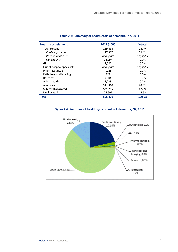<span id="page-26-0"></span>

| <b>Health cost element</b>  | 2011 \$'000 | %total     |
|-----------------------------|-------------|------------|
| <b>Total Hospital</b>       | 139,434     | 23.4%      |
| <b>Public inpatients</b>    | 127,337     | 21.4%      |
| Private inpatients          | negligible  | negligible |
| <i><b>Outpatients</b></i>   | 12,097      | 2.0%       |
| GP <sub>S</sub>             | 1,021       | 0.2%       |
| Out of hospital specialists | negligible  | negligible |
| Pharmaceuticals             | 4,028       | 0.7%       |
| Pathology and imaging       | 121         | $0.0\%$    |
| Research                    | 4,004       | 0.7%       |
| Allied health               | 1,238       | 0.2%       |
| Aged care                   | 371,870     | 62.4%      |
| Sub-total allocated         | 521,715     | 87.5%      |
| Unallocated                 | 74,605      | 12.5%      |
| Total                       | 596,320     | 100.0%     |

### **Table 2.3: Summary of health costs of dementia, NZ, 2011**



<span id="page-26-1"></span>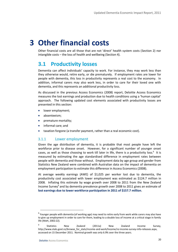# <span id="page-27-0"></span>**3 Other financial costs**

Other financial costs are all those that are not 'direct' health system costs (Section 2) nor intangible costs – the loss of health and wellbeing (Section 4).

### <span id="page-27-1"></span>**3.1 Productivity losses**

Dementia can affect individuals' capacity to work. For instance, they may work less than they otherwise would, retire early, or die prematurely. If employment rates are lower for people with dementia, this loss in productivity represents a real cost to the economy. In addition, informal carers may also work less, in order to care for their loved one with dementia, and this represents an additional productivity loss.

As discussed in the previous Access Economics (2008) report, Deloitte Access Economics measures the lost earnings and production due to health conditions using a 'human capital' approach. The following updated cost elements associated with productivity losses are presented in this section:

- lower employment;
- absenteeism;
- premature mortality;
- informal care; and
- taxation forgone (a transfer payment, rather than a real economic cost).

### 3.1.1 Lower employment

Given the age distribution of dementia, it is probable that most people have left the workforce prior to disease onset. However, for a significant number of younger onset cases, as well as those choosing to work till later in life, there is a productivity loss. $8$  It is measured by estimating the age standardised difference in employment rates between people with dementia and those without. Employment data by age group and gender from Statistics New Zealand were combined with Australian data on the impact of dementia on employment participation to estimate this difference in Access Economics (2008).

At average weekly earnings (AWE) of \$1,025 per worker lost due to dementia, the productivity cost associated with lower employment was estimated as \$124.7 million in 2008. Inflating this estimate by wage growth over 2008 to 2011 from the New Zealand Income Survey<sup>9</sup> and by dementia prevalence growth over 2008 to 2011 gives an estimate of **lost earnings due to lower workforce participation in 2011 of \$157.7 million**.

-

<sup>&</sup>lt;sup>8</sup> Younger people with dementia (of working age) may need to retire early from work while carers may also have to give up employment in order to care for them, leading to a double loss of income at a critical stage in family life (MoH, 2002:22).

<sup>9</sup> Statistics New Zealand (2011a) New Zealand Income Survey, [http://www.stats.govt.nz/browse\\_for\\_stats/income-and-work/Income/nz-income-survey-info-releases.aspx,](http://www.stats.govt.nz/browse_for_stats/income-and-work/Income/nz-income-survey-info-releases.aspx) accessed on 15 December 2011. Nominal growth was only 6.9% over the three years.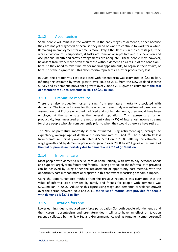### 3.1.2 Absenteeism

Some people will remain in the workforce in the early stages of dementia, either because they are not yet diagnosed or because they need or want to continue to work for a while. Remaining in employment for a time is more likely if the illness is in the early stages, if the work environment is supportive, if tasks are familiar or repetitive and if supervision and occupational health and safety arrangements are adequate. These people may, however, be absent from work more often than those without dementia as a result of the condition – because they need to take time off for medical appointments, to organise their affairs, or because of their symptoms. This absenteeism represents a further productivity loss.

In 2008, the productivity cost associated with absenteeism was estimated as \$2.3 million. Inflating this estimate by wage growth over 2008 to 2011 from the New Zealand Income Survey and by dementia prevalence growth over 2008 to 2011 gives an estimate of **the cost of absenteeism due to dementia in 2011 of \$2.9 million**.

### 3.1.3 Premature mortality

There are also production losses arising from premature mortality associated with dementia. The income forgone for those who die prematurely was estimated based on the assumption that if those who died had lived and not had dementia, they would have been employed at the same rate as the general population. This represents a further productivity loss, measured as the net present value (NPV) of future lost income streams for those people who die from dementia prior to when they would otherwise have retired.

The NPV of premature mortality is then estimated using retirement age, average life expectancy, average age of death and a discount rate of  $3.65\%$ .<sup>10</sup> The productivity loss from premature mortality was estimated at \$5.5 million in 2008. Inflating this estimate by wage growth and by dementia prevalence growth over 2008 to 2011 gives an estimate of **the cost of premature mortality due to dementia in 2011 of \$6.9 million**

### 3.1.4 Informal care

Most people with dementia receive care at home initially, with day-to-day personal needs and support largely from family and friends. Placing a value on the informal care provided can be achieved by using either the replacement or opportunity cost method, with the opportunity cost method more appropriate in this context of measuring economic impact**.**

Using the opportunity cost method from the previous report, it was estimated that the value of informal care provided by family and friends for people with dementia was \$29.3 million in 2008. Adjusting this figure using wage and dementia prevalence growth over the period between 2008 and 2011, **the value of informal care provided for people with dementia is \$37.2 million**.

### 3.1.5 Taxation forgone

Lower earnings due to reduced workforce participation (for both people with dementia and their carers), absenteeism and premature death will also have an effect on taxation revenue collected by the New Zealand Government. As well as forgone income (personal)

1

 $10$  More discussion on the derivation of discount rate can be found in Access Economics (2008).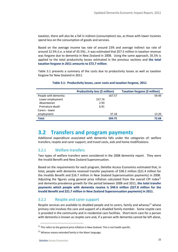taxation, there will also be a fall in indirect (consumption) tax, as those with lower incomes spend less on the consumption of goods and services.

Based on the average income tax rate of around 23% and average indirect tax rate of around 12.5% (i.e. a total of 35.5%) , it was estimated that \$57.5 million in taxation revenue was forgone due to dementia in New Zealand in 2008. Using the same approach, 35.5% is applied to the total productivity losses estimated in the previous sections and **the total taxation forgone in 2011 amounts to \$72.7 million**.

<span id="page-29-1"></span>[Table 3.1](#page-29-1) presents a summary of the costs due to productivity losses as well as taxation forgone for New Zealand in 2011.

|                      | Productivity loss (\$ million) |        | Taxation forgone (\$ million) |
|----------------------|--------------------------------|--------|-------------------------------|
| People with dementia |                                | 167.57 | 59.49                         |
| Lower employment     | 157.74                         |        |                               |
| Absenteeism          | 2.93                           |        |                               |
| Premature death      | 6.91                           |        |                               |
| Carers - lower       |                                |        |                               |
| employment           |                                | 37.18  | 13.20                         |
| <b>Total</b>         |                                | 204.75 | 72.68                         |

#### **Table 3.1: Productivity losses, carer costs and taxation forgone, 2011**

### <span id="page-29-0"></span>**3.2 Transfers and program payments**

Additional expenditure associated with dementia falls under the categories of: welfare transfers; respite and carer support; and travel costs, aids and home modifications.

### 3.2.1 Welfare transfers

Two types of welfare transfers were considered in the 2008 dementia report. They were the Invalid Benefit and New Zealand Superannuation.

Based on the requirements for each program, Deloitte Access Economics estimated that, in total, people with dementia received transfer payments of \$38.2 million (\$21.4 million for the Invalids Benefit and \$16.7 million in New Zealand Superannuation payments) in 2008. Adjusting the figures using general price inflation calculated from the overall CPI index $11$ and dementia prevalence growth for the period between 2008 and 2011, **the total transfer payments which people with dementia receive is \$49.6 million (\$27.8 million for the Invalid Benefit and \$21.7 million in New Zealand Superannuation payments) in 2011**.

### 3.2.2 Respite and carer support

Respite services are available to disabled people and to carers, family and whanau<sup>12</sup> whose primary role involves the care and support of a disabled family member. Some respite care is provided in the community and in residential care facilities. Short-term care for a person with dementia is known as respite care and, if a person with dementia cannot be left alone,

**.** 

 $11$  This refers to the general price inflation in New Zealand. This is not health specific.

<sup>&</sup>lt;sup>12</sup> Whanau means extended family in the Maori language.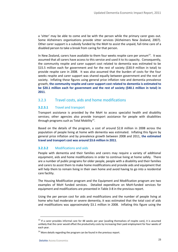a 'sitter' may be able to come and be with the person while the primary carer goes out. Some Alzheimers organisations provide sitter services (Alzheimers New Zealand, 2007). Other carer support is a subsidy funded by the MoH to assist the unpaid, full-time care of a disabled person to take a break from caring for that person.

In New Zealand, carers have available to them four weeks respite care per annum<sup>13</sup>. It was assumed that all carers have access to this service and used it to its capacity. Consequently, the community respite and carer support cost related to dementia was estimated to be \$15.5 million each for government and for the rest of society (\$30.9 million in total) to provide respite care in 2008. It was also assumed that the burden of costs for the four weeks respite and carer support was shared equally between government and the rest of society. Inflating these figures using general price inflation rate and dementia prevalence growth, **the community respite and carer support cost related to dementia is estimated to be \$20.1 million each for government and the rest of society (\$40.1 million in total) in 2011**.

### 3.2.3 Travel costs, aids and home modifications

### **3.2.3.1** Travel and transport

Transport assistance is provided by the MoH to access specialist health and disability services; other agencies also provide transport assistance for people with disabilities through programs such as Total Mobility<sup>14</sup>.

Based on the details of the program, a cost of around \$2.8 million in 2008 across the population of people living at home with dementia was estimated. Inflating this figure by general price inflation and by prevalence growth between 2008 and 2011, **the estimated travel and transport cost was around \$3.6 million in 2011**.

### **3.2.3.2** Modifications and aids

People with dementia and their families and carers may require a variety of additional equipment, aids and home modifications in order to continue living at home safely. There are a number of public programs for older people, people with a disability and their families and carers to assist them to make home modifications and provide aids and equipment that will help them to remain living in their own home and avoid having to go into a residential care facility.

The Housing Modification program and the Equipment and Modification program are two examples of MoH funded services. Detailed expenditure on MoH-funded services for equipment and modifications are presented in Table 3-8 in the previous report.

Using the per person cost for aids and modifications and the number of people living at home who had moderate or severe dementia, it was estimated that the total cost of aids and modifications was approximately \$3.1 million in 2008. Inflating this figure using the

1

 $13$  If a carer provides informal care for 48 weeks per year (availing themselves of respite care), it is assumed unlikely that the carer would offset the productivity costs by increasing their paid employment for four weeks of each year.

 $14$  More details regarding the program can be found in the previous report.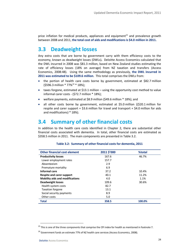price inflation for medical products, appliances and equipment<sup>15</sup> and prevalence growth between 2008 and 2011, **the total cost of aids and modifications is \$4.0 million in 2011.**

### <span id="page-31-0"></span>**3.3 Deadweight losses**

Any extra costs that are borne by government carry with them efficiency costs to the economy, known as deadweight losses (DWLs)**.** Deloitte Access Economics calculated that the DWL incurred in 2008 was \$81.3 million, based on New Zealand studies estimating the rate of efficiency losses (18% on average) from NZ taxation and transfers (Access Economics, 2008:48). Using the same methodology as previously, **the DWL incurred in 2011 was estimated to be \$109.6 million**. This total comprises the DWLs from:

- the portion of health care costs borne by government, estimated at \$82.7 million  $(5596.3 \text{ million} * 77\%^{16} * 18\%);$
- taxes forgone, estimated at \$13.1 million using the opportunity cost method to value informal carer costs - (\$72.7 million \* 18%);
- welfare payments, estimated at \$8.9 million (\$49.6 million \* 18%); and
- all other costs borne by government, estimated at \$5.0 million ((\$20.1 million for respite and carer support + \$3.6 million for travel and transport + \$4.0 million for aids and modifications) \* 18%).

### <span id="page-31-1"></span>**3.4 Summary of other financial costs**

<span id="page-31-2"></span>In addition to the health care costs identified in Chapter 2, there are substantial other financial costs associated with dementia. In total, other financial costs are estimated as \$358.5 million in 2011. The main components are presented i[n Table 3.2.](#page-31-2)

| <b>Other financial cost element</b>    | 2011 \$'000 | %total |
|----------------------------------------|-------------|--------|
| <b>Productivity losses</b>             | 167.6       | 46.7%  |
| Lower employment rates                 | 157.7       |        |
| Absenteeism                            | 2.9         |        |
| Premature mortality                    | 6.9         |        |
| Informal care                          | 37.2        | 10.4%  |
| Respite and carer support              | 40.1        | 11.2%  |
| <b>Mobility aids and modifications</b> | 4.0         | 1.1%   |
| Deadweight losses                      | 109.6       | 30.6%  |
| Health system costs                    | 82.7        |        |
| <b>Taxation forgone</b>                | 13.1        |        |
| Social security payments               | 8.9         |        |
| Other costs                            | 5.0         |        |
| Total                                  | 358.5       | 100.0% |

#### **Table 3.2: Summary of other financial costs for dementia, 2011**

**.** 

<sup>&</sup>lt;sup>15</sup> This is one of the three components that comprise the CPI index for health as mentioned in footnote 7.

 $16$  Government funds an estimate 77% of NZ health care services (Access Economics, 2008).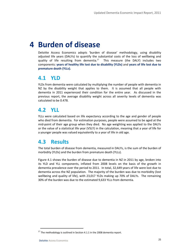# <span id="page-32-0"></span>**4 Burden of disease**

Deloitte Access Economics adopts 'burden of disease' methodology, using disability adjusted life years (DALYs) to quantify the substantial costs of the loss of wellbeing and quality of life resulting from dementia.<sup>17</sup> This measure (the DALY) includes two components: **years of healthy life lost due to disability (YLDs)** and **years of life lost due to premature death (YLLs).**

### <span id="page-32-1"></span>**4.1 YLD**

YLDs from dementia were calculated by multiplying the number of people with dementia in NZ by the disability weight that applies to them. It is assumed that all people with dementia in 2011 experienced their condition for the entire year. As discussed in the previous report, the average disability weight across all severity levels of dementia was calculated to be 0.478.

### <span id="page-32-2"></span>**4.2 YLL**

YLLs were calculated based on life expectancy according to the age and gender of people who died from dementia. For estimation purposes, people were assumed to be aged at the mid-point of their age group when they died. No age weighting was applied to the DALYs or the value of a statistical life year (VSLY) in the calculation, meaning that a year of life for a younger people was valued equivalently to a year of life in old age.

### <span id="page-32-3"></span>**4.3 Results**

The total burden of disease from dementia, measured in DALYs, is the sum of the burden of morbidity (YLDs) and the burden from premature death (YLLs).

[Figure 4.1](#page-33-0) shows the burden of disease due to dementia in NZ in 2011 by age, broken into its YLD and YLL components, inflated from 2008 levels on the basis of the growth in dementia prevalence over the period to 2011. In total, 32,649 years of life were lost due to dementia across the NZ population. The majority of the burden was due to morbidity (lost wellbeing and quality of life), with 23,017 YLDs making up 70% of DALYs. The remaining 30% of the burden was due to the estimated 9,633 YLLs from dementia.

1

 $17$  The methodology is outlined in Section 4.1.1 in the 2008 dementia report.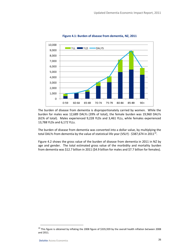<span id="page-33-0"></span>

**Figure 4.1: Burden of disease from dementia, NZ, 2011**

The burden of disease from dementia is disproportionately carried by women. While the burden for males was 12,689 DALYs (39% of total), the female burden was 19,960 DALYs (61% of total). Males experienced 9,228 YLDs and 3,461 YLLs, while females experienced 13,788 YLDs and 6,172 YLLs.

The burden of disease from dementia was converted into a dollar value, by multiplying the total DALYs from dementia by the value of statistical life year (VSLY) - \$387,674 in 2011<sup>18</sup>.

[Figure 4.2](#page-34-1) shows the gross value of the burden of disease from dementia in 2011 in NZ by age and gender. The total estimated gross value of the morbidity and mortality burden from dementia was \$12.7 billion in 2011 (\$4.9 billion for males and \$7.7 billion for females).

**.** 

<sup>&</sup>lt;sup>18</sup> This figure is obtained by inflating the 2008 figure of \$335,939 by the overall health inflation between 2008 and 2011.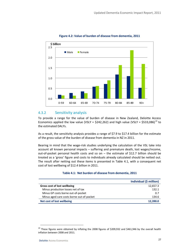<span id="page-34-1"></span>

### **Figure 4.2: Value of burden of disease from dementia, 2011**

### 4.3.2 Sensitivity analysis

To provide a range for the value of burden of disease in New Zealand, Deloitte Access Economics applied the low value (VSLY = \$242,262) and high value (VSLY = \$533,086)<sup>19</sup> to the estimated DALYs.

As a result, the sensitivity analysis provides a range of \$7.9 to \$17.4 billion for the estimate of the gross value of the burden of disease from dementia in NZ in 2011.

Bearing in mind that the wage-risk studies underlying the calculation of the VSL take into account all known personal impacts – suffering and premature death, lost wages/income, out-of-pocket personal health costs and so on  $-$  the estimate of \$12.7 billion should be treated as a 'gross' figure and costs to individuals already calculated should be netted out. The result after netting out these items is presented in [Table 4.1,](#page-34-0) with a consequent net cost of lost wellbeing of \$12.4 billion in 2011.

### **Table 4.1: Net burden of disease from dementia, 2011**

<span id="page-34-0"></span>

|                                           | Individual (\$ million) |
|-------------------------------------------|-------------------------|
| Gross cost of lost wellbeing              | 12,657.3                |
| Minus production losses net of tax        | 132.1                   |
| Minus GP costs borne out-of-pocket        | 0.7                     |
| Minus aged care costs borne out-of-pocket | 134.6                   |
| Net cost of lost wellbeing                | 12,390.0                |

**.** 

<sup>&</sup>lt;sup>19</sup> These figures were obtained by inflating the 2008 figures of \$209,932 and \$461,946 by the overall health inflation between 2008 and 2011.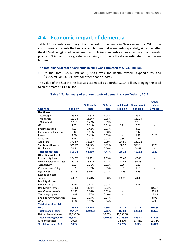### <span id="page-35-0"></span>**4.4 Economic impact of dementia**

[Table 4.2](#page-35-1) presents a summary of all the costs of dementia in New Zealand for 2011. The cost summary presents the financial and burden of disease costs separately, since the latter (health/wellbeing) is not considered part of living standards as measured by gross domestic product (GDP), and since greater uncertainty surrounds the dollar estimate of the disease burden.

#### **The total financial cost of dementia in 2011 was estimated as \$954.8 million.**

 Of the total, \$596.3 million (62.5%) was for health system expenditures and \$358.5 million (37.5%) was for other financial costs.

<span id="page-35-1"></span>The value of the healthy life lost was estimated as a further \$12.4 billion, bringing the total to an estimated \$13.4 billion.

|                                |            |             |         |                          |                   | <b>Other</b>             |
|--------------------------------|------------|-------------|---------|--------------------------|-------------------|--------------------------|
|                                |            | % Financial | % Total | <b>Individual</b>        | <b>Government</b> | society                  |
| <b>Cost item</b>               | \$ million | costs       | costs   | \$ million               | \$ million        | \$ million               |
| <b>Health cost</b>             |            |             |         |                          |                   |                          |
| <b>Total hospital</b>          | 139.43     | 14.60%      | 1.04%   | $\sim$                   | 139.43            |                          |
| <b>Inpatients</b>              | 127.34     | 13.34%      | 0.95%   |                          | 127.34            |                          |
| <b>Outpatients</b>             | 12.10      | 1.27%       | 0.09%   |                          | 12.10             |                          |
| GPs                            | 1.02       | 0.11%       | 0.01%   | 0.71                     | 0.31              |                          |
| Pharmaceuticals                | 4.03       | 0.42%       | 0.03%   | ÷,                       | 4.03              |                          |
| Pathology and imaging          | 0.12       | 0.01%       | 0.00%   |                          | 0.12              |                          |
| Research                       | 4.00       | 0.42%       | 0.03%   |                          | 1.72              | 2.29                     |
| Allied health                  | 1.24       | 0.13%       | 0.01%   | 0.86                     | 0.38              |                          |
| Aged care                      | 371.87     | 38.95%      | 2.79%   | 134.55                   | 237.32            |                          |
| <b>Sub-total allocated</b>     | 521.72     | 54.64%      | 3.91%   | 136.12                   | 383.31            | 2.29                     |
| Unallocated                    | 74.61      | 7.81%       | 0.56%   | ä,                       | 74.61             | $\blacksquare$           |
| <b>Total health costs</b>      | 596.32     | 62.46%      | 4.47%   | 136.12                   | 457.92            | 2.29                     |
| <b>Other financial costs</b>   |            |             |         |                          |                   |                          |
| Productivity losses            | 204.76     | 21.45%      | 1.53%   | 157.67                   | 47.09             | $\overline{\phantom{a}}$ |
| Lower employment rates         | 157.74     | 16.52%      | 1.18%   | 121.46                   | 36.28             |                          |
| Absenteeism                    | 2.93       | 0.31%       | 0.02%   | 2.26                     | 0.67              |                          |
| Premature mortality            | 6.91       | 0.72%       | 0.05%   | 5.32                     | 1.59              |                          |
| Informal care                  | 37.18      | 3.89%       | 0.28%   | 28.63                    | 8.55              |                          |
| Respite and carer              |            |             |         |                          |                   |                          |
| support                        | 40.11      | 4.20%       | 0.30%   | 20.06                    | 20.06             |                          |
| Mobility aids and              |            |             |         |                          |                   |                          |
| modifications                  | 3.96       | 0.41%       | 0.03%   | $\overline{\phantom{a}}$ | 3.96              |                          |
| Deadweight losses              | 109.64     | 11.48%      | 0.82%   | $\overline{\phantom{a}}$ |                   | 109.64                   |
| Health system costs            | 82.65      | 8.66%       | 0.62%   | $\overline{\phantom{a}}$ |                   | 82.65                    |
| <b>Taxation forgone</b>        | 13.08      | 1.37%       | 0.10%   |                          |                   | 13.08                    |
| Social security payments       | 8.93       | 0.93%       | 0.07%   |                          |                   | 8.93                     |
| Other costs                    | 4.98       | 0.52%       | 0.04%   | ä,                       |                   | 4.98                     |
| <b>Total other financial</b>   |            |             |         |                          |                   |                          |
| costs                          | 358.45     | 37.54%      | 2.69%   | 177.72                   | 71.11             | 109.64                   |
| <b>Total financial costs</b>   | 954.77     | 100.00%     | 7.15%   | 313.84                   | 529.03            | 111.93                   |
| Net burden of disease          | 12,390.00  |             | 92.85%  | 12,390.00                |                   |                          |
| <b>Total including net BoD</b> | 13,344.77  |             | 100.00% | 12,703.84                | 529.03            | 111.93                   |
| % financial total              | 100%       |             |         | 32.87%                   | 55.41%            | 11.72%                   |
| % total including BoD          | 100%       |             |         | 95.20%                   | 3.96%             | 0.84%                    |

#### **Table 4.2: Summary of economic costs of dementia, New Zealand, 2011**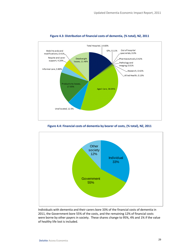<span id="page-36-0"></span>

### **Figure 4.3: Distribution of financial costs of dementia, (% total), NZ, 2011**

**Figure 4.4: Financial costs of dementia by bearer of costs, (% total), NZ, 2011**

<span id="page-36-1"></span>

Individuals with dementia and their carers bore 33% of the financial costs of dementia in 2011, the Government bore 55% of the costs, and the remaining 12% of financial costs were borne by other payers in society. These shares change to 95%, 4% and 1% if the value of healthy life lost is included.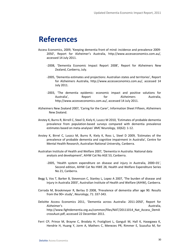# <span id="page-37-0"></span>**References**

- Access Economics, 2009, 'Keeping dementia front of mind: incidence and prevalence 2009- 2050', Report for Alzheimer's Australia, http://www.accesseconomics.com.au/, accessed 14 July 2011.
	- -2008, 'Dementia Economic Impact Report 2008'*,* Report for Alzheimers New Zealand, Canberra, July.
	- -2005, 'Dementia estimates and projections: Australian states and territories', Report for Alzheimers Australia, http://www.accesseconomics.com.au/, accessed 14 July 2011.
	- -2003, 'The dementia epidemic: economic impact and positive solutions for Australia', Report for Alzheimers Australia, http://www.accesseconomics.com.au/, accessed 14 July 2011.
- Alzheimers New Zealand 2007, 'Caring for the Carer', Information Sheet Fifteen, Alzheimers New Zealand.
- Anstey K, Burns R, Birrell C, Steel D, Kiely K, Luszcz M 2010, 'Estimates of probable dementia prevalence from population-based surveys compared with dementia prevalence estimates based on meta-analyses' *BMC Neurology,* 10(62): 1-12.
- Anstey K, Birrel C, Luszcz M, Burns R, Kiely K, Ross L, Steel D 2009, 'Estimates of the prevalence of probable dementia and cognitive impairment in Australia', Centre for Mental Health Research, Australian National University, Canberra.
- Australian Institute of Health and Welfare 2007, 'Dementia in Australia: National data analysis and development', AIHW Cat No AGE 53, Canberra.
	- -2005, 'Health system expenditure on disease and injury in Australia, 2000–01*',* Second edition, AIHW Cat No HWE 28, Health and Welfare Expenditure Series No 21, Canberra.
- Begg S, Vos T, Barker B, Stevenson C, Stanley L, Lopez A 2007, 'The burden of disease and injury in Australia 2003', Australian Institute of Health and Welfare (AIHW), Canberra.
- Corrada M, Brookmeyer R, Berlau D 2008, 'Prevalence of dementia after age 90. Results from the 90+ study', *Neurology*, 71: 337-343.
- Deloitte Access Economics 2011, 'Dementia across Australia: 2011-2050', Report for Alzheimer's **Australia**, **Australia, Australia, Australia, Australia**, Australia, Australia, Australia, Australia, Australia, Australia, Australia, Australia, Australia, Australia, Australia, Australia, Australia, Australi http://www.fightdementia.org.au/common/files/NAT/20111014 Nat\_Access\_DemA [crossAust.pdf,](http://www.fightdementia.org.au/common/files/NAT/20111014_Nat_Access_DemAcrossAust.pdf) accessed 22 December 2011.
- Ferri CP, Prince M, Brayne C, Brodaty H, Fratiglioni L, Ganguli M, Hall K, Hasegawa K, Hendrie H, Huang Y, Jorm A, Mathers C, Menezes PR, Rimmer E, Scazufca M, for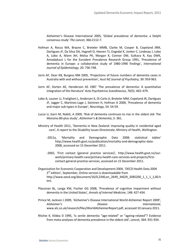Alzheimer's Disease International 2005, 'Global prevalence of dementia: a Delphi consensus study' *The Lancet,* 366:2112-7.

- Hofman A, Rocca WA, Brayne C, Breteler MMB, Clarke M, Cooper B, Copeland JRM, Dartigues JF, Da Silva DA, Hagnell O, Heeren TJ, Engedal K, Jonker C, Lindesay J, Lobo A, Lobo A, Mann AH, Molsa PK, Morgan K, Connor DW, Sulkava R, Kay DWK, Amadaducci L for the Eurodem Prevalence Research Group 1991, 'Prevalence of dementia in Europe: a collaborative study of 1980-1990 findings', *International Journal of Epidemiology,* 20: 736-748.
- Jorm AF, Dear KB, Burgess NM 2005, 'Projections of future numbers of dementia cases in Australia with and without prevention', *Aust NZ Journal of Psychiatry,* 39: 959-963.
- Jorm AF, Korten AE, Henderson AS 1987 'The prevalence of dementia: A quantitative integration of the literature' *Acta Psychiatrica Scandinavica*, 76(5): 465–479.
- Lobo A, Launer LJ, Fratiglioni L, Andersen K, Di Carlo A, Breteler MM, Copeland JR, Dartigues JF, Jagger C, Martinez-Lage J, Soininen H, Hofman A 2000, 'Prevalence of dementia and major sub-types in Europe', *Neurology,* 54: 54-59.
- Lucca U, Garri M, Nobili, A 2009, 'Risk of dementia continues to rise in the oldest old: The Monzino 80-plus study', *Alzheimer's & Dementia*, 5: 381.
- Ministry of Health 2011, 'Dementia in New Zealand: improving quality in residential aged care'*,* A report to the Disability Issues Directorate, Ministry of Health, Wellington.
	- -2011a, 'Mortality and Demographic Data 2008: statistical tables' [http://www.health.govt.nz/publication/mortality-and-demographic-data-](http://www.health.govt.nz/publication/mortality-and-demographic-data-2008)[2008,](http://www.health.govt.nz/publication/mortality-and-demographic-data-2008) accessed on 15 December 2011.
	- -2002, 'First contact (general practice services)'*,* http://www.health.govt.nz/ourwork/primary-health-care/primary-health-care-services-and-projects/firstcontact-general-practice-services, accessed on 15 December 2011.
- Organization for Economic Cooperation and Development 2004, 'OECD Health Data 2004 3<sup>rd</sup> edition', September, Online version is downloadable from [http://www.oecd.org/document/16/0,2340,en\\_2649\\_34629\\_2085200\\_1\\_1\\_1\\_1,00.h](http://www.oecd.org/document/16/0,2340,en_2649_34629_2085200_1_1_1_1,00.html) [tml.](http://www.oecd.org/document/16/0,2340,en_2649_34629_2085200_1_1_1_1,00.html)
- Plassman BL, Langa KM, Fischer GG 2008, 'Prevalence of cognitive impairment without dementia in the United States', *Annals of Internal Medicine*, 148: 427-434.
- Prince M, Jackson J 2009, 'Alzheimer's Disease International World Alzheimer Report 2009', *Alzheimer's Disease International*, www.alz.co.uk/research/files/WorldAlzheimerReport.pdf, accessed 10 January 2011.
- Ritchie K, Kildea D 1995, 'Is senile dementia "age-related" or "ageing-related"? Evidence from meta-analyses of dementia prevalence in the oldest-old', *Lancet,* 364: 931-934.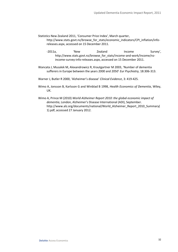Statistics New Zealand 2011, 'Consumer Price Index', March quarter, [http://www.stats.govt.nz/browse\\_for\\_stats/economic\\_indicators/CPI\\_inflation/info](http://www.stats.govt.nz/browse_for_stats/economic_indicators/CPI_inflation/info-releases.aspx)[releases.aspx,](http://www.stats.govt.nz/browse_for_stats/economic_indicators/CPI_inflation/info-releases.aspx) accessed on 15 December 2011.

- -2011a, 'New Zealand Income Survey', [http://www.stats.govt.nz/browse\\_for\\_stats/income-and-work/Income/nz](http://www.stats.govt.nz/browse_for_stats/income-and-work/Income/nz-income-survey-info-releases.aspx)[income-survey-info-releases.aspx,](http://www.stats.govt.nz/browse_for_stats/income-and-work/Income/nz-income-survey-info-releases.aspx) accessed on 15 December 2011.
- Wancata J, Musalek M, Alexandrowicz R, Krautgartner M 2003, 'Number of dementia sufferers in Europe between the years 2000 and 2050' *Eur Psychiatry,* 18:306-313.
- Warner J, Butler R 2000, 'Alzheimer's disease' *Clinical Evidence*, 3: 419-425.
- Wimo A, Jonsson B, Karlsson G and Winblad B 1998, *Health Economics of Dementia*, Wiley, UK.
- Wimo A, Prince M (2010) *World Alzheimer Report 2010: the global economic impact of dementia*, London, Alzheimer's Disease International (ADI), September. [http://www.alz.org/documents/national/World\\_Alzheimer\\_Report\\_2010\\_Summary\(](http://www.alz.org/documents/national/World_Alzheimer_Report_2010_Summary(1).pdf) [1\).pdf,](http://www.alz.org/documents/national/World_Alzheimer_Report_2010_Summary(1).pdf) accessed 27 January 2012.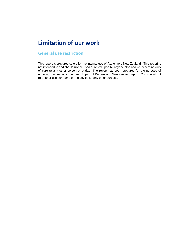### <span id="page-40-0"></span>**Limitation of our work**

### **General use restriction**

This report is prepared solely for the internal use of Alzheimers New Zealand. This report is not intended to and should not be used or relied upon by anyone else and we accept no duty of care to any other person or entity. The report has been prepared for the purpose of updating the previous Economic Impact of Dementia in New Zealand report. You should not refer to or use our name or the advice for any other purpose.